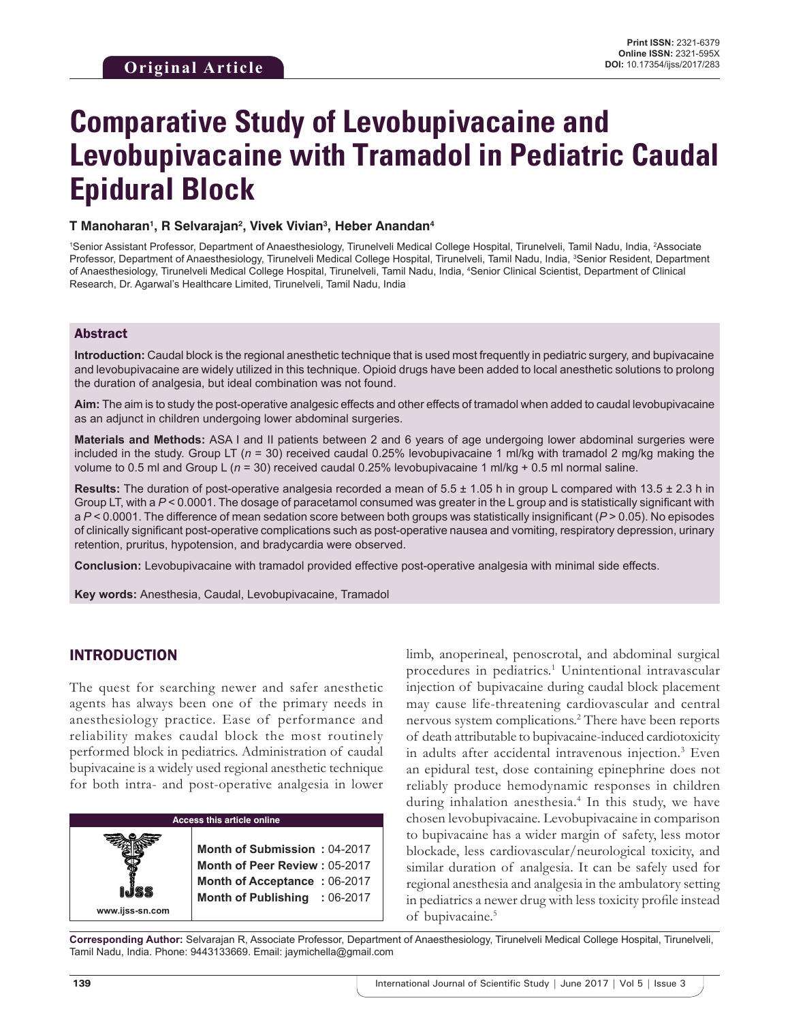# **Comparative Study of Levobupivacaine and Levobupivacaine with Tramadol in Pediatric Caudal Epidural Block**

#### **T Manoharan1 , R Selvarajan2 , Vivek Vivian3 , Heber Anandan4**

<sup>1</sup>Senior Assistant Professor, Department of Anaesthesiology, Tirunelveli Medical College Hospital, Tirunelveli, Tamil Nadu, India, <sup>2</sup>Associate Professor, Department of Anaesthesiology, Tirunelveli Medical College Hospital, Tirunelveli, Tamil Nadu, India, <sup>3</sup>Senior Resident, Department of Anaesthesiology, Tirunelveli Medical College Hospital, Tirunelveli, Tamil Nadu, India, 4 Senior Clinical Scientist, Department of Clinical Research, Dr. Agarwal's Healthcare Limited, Tirunelveli, Tamil Nadu, India

#### Abstract

**Introduction:** Caudal block is the regional anesthetic technique that is used most frequently in pediatric surgery, and bupivacaine and levobupivacaine are widely utilized in this technique. Opioid drugs have been added to local anesthetic solutions to prolong the duration of analgesia, but ideal combination was not found.

**Aim:** The aim is to study the post-operative analgesic effects and other effects of tramadol when added to caudal levobupivacaine as an adjunct in children undergoing lower abdominal surgeries.

**Materials and Methods:** ASA I and II patients between 2 and 6 years of age undergoing lower abdominal surgeries were included in the study. Group LT ( $n = 30$ ) received caudal 0.25% levobupivacaine 1 ml/kg with tramadol 2 mg/kg making the volume to 0.5 ml and Group L ( $n = 30$ ) received caudal 0.25% levobupivacaine 1 ml/kg + 0.5 ml normal saline.

**Results:** The duration of post-operative analgesia recorded a mean of 5.5 ± 1.05 h in group L compared with 13.5 ± 2.3 h in Group LT, with a  $P < 0.0001$ . The dosage of paracetamol consumed was greater in the L group and is statistically significant with a *P* < 0.0001. The difference of mean sedation score between both groups was statistically insignificant (*P* > 0.05). No episodes of clinically significant post-operative complications such as post-operative nausea and vomiting, respiratory depression, urinary retention, pruritus, hypotension, and bradycardia were observed.

**Conclusion:** Levobupivacaine with tramadol provided effective post-operative analgesia with minimal side effects.

**Key words:** Anesthesia, Caudal, Levobupivacaine, Tramadol

#### INTRODUCTION

**www.ijss-sn.com**

The quest for searching newer and safer anesthetic agents has always been one of the primary needs in anesthesiology practice. Ease of performance and reliability makes caudal block the most routinely performed block in pediatrics. Administration of caudal bupivacaine is a widely used regional anesthetic technique for both intra- and post-operative analgesia in lower

#### **Access this article online**

**Month of Submission :** 04-2017 **Month of Peer Review :** 05-2017 **Month of Acceptance :** 06-2017 **Month of Publishing :** 06-2017 limb, anoperineal, penoscrotal, and abdominal surgical procedures in pediatrics.<sup>1</sup> Unintentional intravascular injection of bupivacaine during caudal block placement may cause life-threatening cardiovascular and central nervous system complications.2 There have been reports of death attributable to bupivacaine-induced cardiotoxicity in adults after accidental intravenous injection.3 Even an epidural test, dose containing epinephrine does not reliably produce hemodynamic responses in children during inhalation anesthesia.4 In this study, we have chosen levobupivacaine. Levobupivacaine in comparison to bupivacaine has a wider margin of safety, less motor blockade, less cardiovascular/neurological toxicity, and similar duration of analgesia. It can be safely used for regional anesthesia and analgesia in the ambulatory setting in pediatrics a newer drug with less toxicity profile instead of bupivacaine.<sup>5</sup>

**Corresponding Author:** Selvarajan R, Associate Professor, Department of Anaesthesiology, Tirunelveli Medical College Hospital, Tirunelveli, Tamil Nadu, India. Phone: 9443133669. Email: jaymichella@gmail.com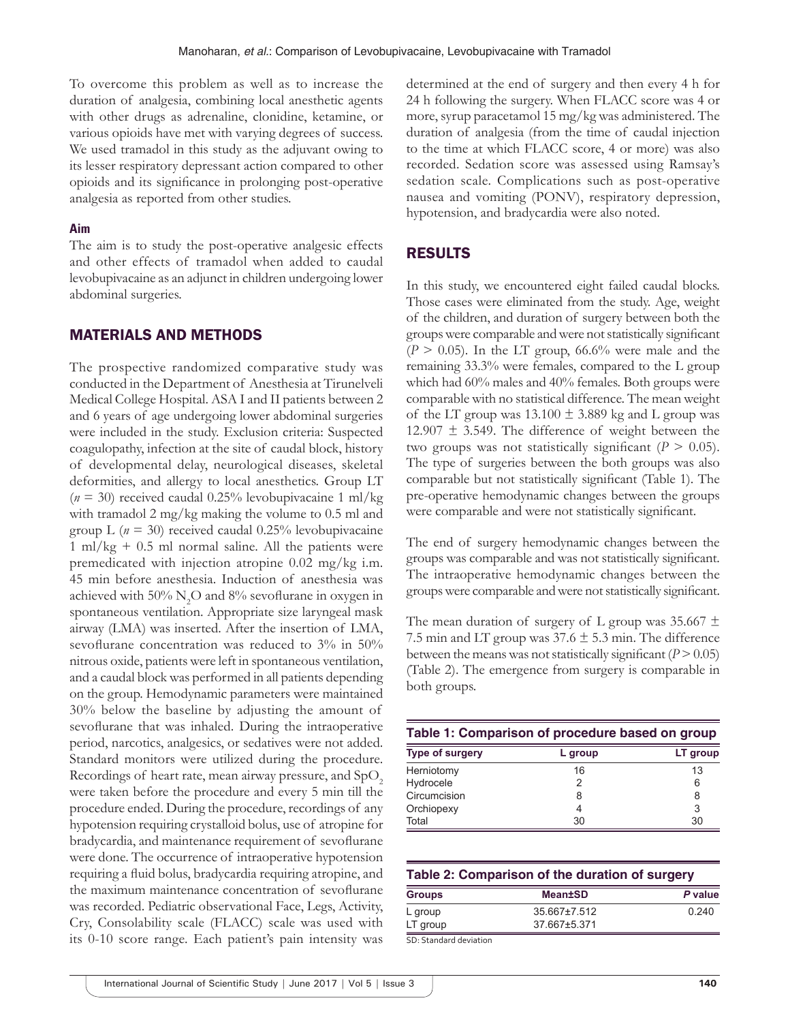To overcome this problem as well as to increase the duration of analgesia, combining local anesthetic agents with other drugs as adrenaline, clonidine, ketamine, or various opioids have met with varying degrees of success. We used tramadol in this study as the adjuvant owing to its lesser respiratory depressant action compared to other opioids and its significance in prolonging post-operative analgesia as reported from other studies.

#### **Aim**

The aim is to study the post-operative analgesic effects and other effects of tramadol when added to caudal levobupivacaine as an adjunct in children undergoing lower abdominal surgeries.

#### MATERIALS AND METHODS

The prospective randomized comparative study was conducted in the Department of Anesthesia at Tirunelveli Medical College Hospital. ASA I and II patients between 2 and 6 years of age undergoing lower abdominal surgeries were included in the study. Exclusion criteria: Suspected coagulopathy, infection at the site of caudal block, history of developmental delay, neurological diseases, skeletal deformities, and allergy to local anesthetics. Group LT  $(n = 30)$  received caudal 0.25% levobupivacaine 1 ml/kg with tramadol 2 mg/kg making the volume to 0.5 ml and group L ( $n = 30$ ) received caudal 0.25% levobupivacaine 1 ml/kg  $+$  0.5 ml normal saline. All the patients were premedicated with injection atropine 0.02 mg/kg i.m. 45 min before anesthesia. Induction of anesthesia was achieved with 50%  $\rm N_2O$  and 8% sevoflurane in oxygen in spontaneous ventilation. Appropriate size laryngeal mask airway (LMA) was inserted. After the insertion of LMA, sevoflurane concentration was reduced to 3% in 50% nitrous oxide, patients were left in spontaneous ventilation, and a caudal block was performed in all patients depending on the group. Hemodynamic parameters were maintained 30% below the baseline by adjusting the amount of sevoflurane that was inhaled. During the intraoperative period, narcotics, analgesics, or sedatives were not added. Standard monitors were utilized during the procedure. Recordings of heart rate, mean airway pressure, and  $SpO<sub>2</sub>$ were taken before the procedure and every 5 min till the procedure ended. During the procedure, recordings of any hypotension requiring crystalloid bolus, use of atropine for bradycardia, and maintenance requirement of sevoflurane were done. The occurrence of intraoperative hypotension requiring a fluid bolus, bradycardia requiring atropine, and the maximum maintenance concentration of sevoflurane was recorded. Pediatric observational Face, Legs, Activity, Cry, Consolability scale (FLACC) scale was used with its 0-10 score range. Each patient's pain intensity was

determined at the end of surgery and then every 4 h for 24 h following the surgery. When FLACC score was 4 or more, syrup paracetamol 15 mg/kg was administered. The duration of analgesia (from the time of caudal injection to the time at which FLACC score, 4 or more) was also recorded. Sedation score was assessed using Ramsay's sedation scale. Complications such as post-operative nausea and vomiting (PONV), respiratory depression, hypotension, and bradycardia were also noted.

# RESULTS

In this study, we encountered eight failed caudal blocks. Those cases were eliminated from the study. Age, weight of the children, and duration of surgery between both the groups were comparable and were not statistically significant  $(P > 0.05)$ . In the LT group, 66.6% were male and the remaining 33.3% were females, compared to the L group which had 60% males and 40% females. Both groups were comparable with no statistical difference. The mean weight of the LT group was  $13.100 \pm 3.889$  kg and L group was  $12.907 \pm 3.549$ . The difference of weight between the two groups was not statistically significant ( $P > 0.05$ ). The type of surgeries between the both groups was also comparable but not statistically significant (Table 1). The pre-operative hemodynamic changes between the groups were comparable and were not statistically significant.

The end of surgery hemodynamic changes between the groups was comparable and was not statistically significant. The intraoperative hemodynamic changes between the groups were comparable and were not statistically significant.

The mean duration of surgery of L group was 35.667  $\pm$ 7.5 min and LT group was  $37.6 \pm 5.3$  min. The difference between the means was not statistically significant  $(P > 0.05)$ (Table 2). The emergence from surgery is comparable in both groups.

| Table 1: Comparison of procedure based on group |         |          |  |
|-------------------------------------------------|---------|----------|--|
| <b>Type of surgery</b>                          | L group | LT group |  |
| Herniotomy                                      | 16      | 13       |  |
| Hydrocele                                       |         | 6        |  |
| Circumcision                                    |         | 8        |  |
| Orchiopexy                                      |         | 3        |  |
| Total                                           | 30      | 30       |  |

| Table 2: Comparison of the duration of surgery |                |         |  |
|------------------------------------------------|----------------|---------|--|
| <b>Groups</b>                                  | <b>Mean±SD</b> | P value |  |
| L group                                        | 35.667±7.512   | 0.240   |  |
| LT group                                       | 37.667±5.371   |         |  |

SD: Standard deviation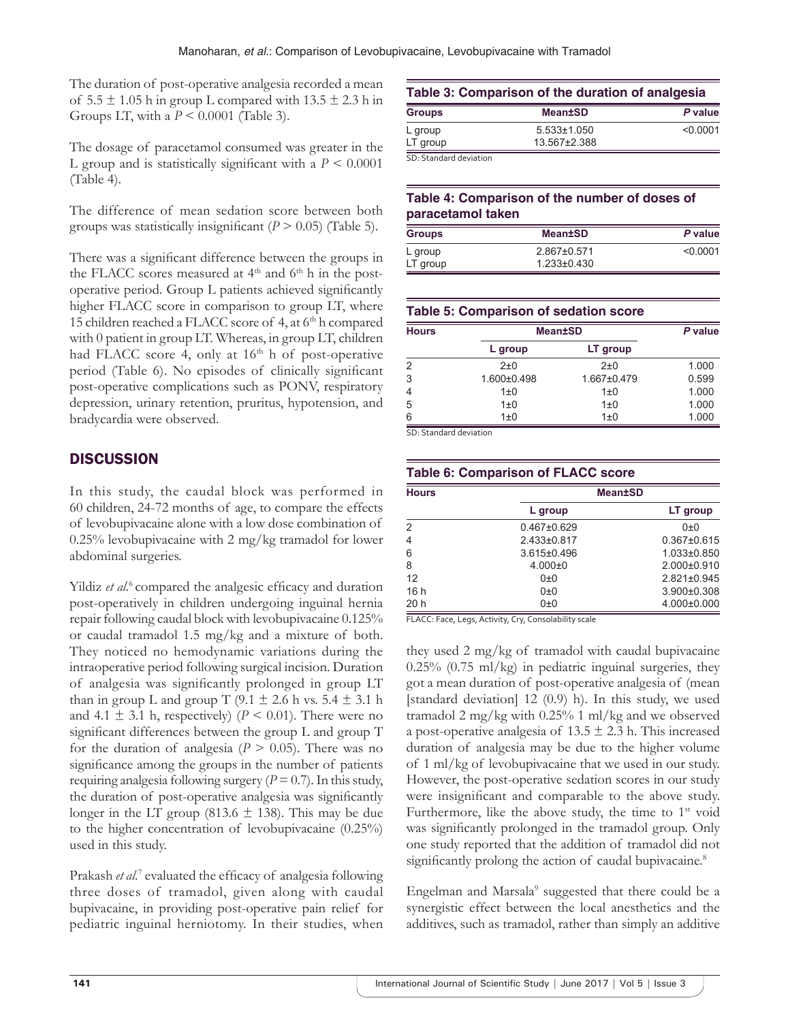The duration of post-operative analgesia recorded a mean of  $5.5 \pm 1.05$  h in group L compared with  $13.5 \pm 2.3$  h in Groups LT, with a *P* < 0.0001 (Table 3).

The dosage of paracetamol consumed was greater in the L group and is statistically significant with a  $P \leq 0.0001$ (Table 4).

The difference of mean sedation score between both groups was statistically insignificant  $(P > 0.05)$  (Table 5).

There was a significant difference between the groups in the FLACC scores measured at  $4<sup>th</sup>$  and  $6<sup>th</sup>$  h in the postoperative period. Group L patients achieved significantly higher FLACC score in comparison to group LT, where 15 children reached a FLACC score of 4, at 6<sup>th</sup> h compared with 0 patient in group LT. Whereas, in group LT, children had FLACC score 4, only at 16<sup>th</sup> h of post-operative period (Table 6). No episodes of clinically significant post-operative complications such as PONV, respiratory depression, urinary retention, pruritus, hypotension, and bradycardia were observed.

# **DISCUSSION**

In this study, the caudal block was performed in 60 children, 24-72 months of age, to compare the effects of levobupivacaine alone with a low dose combination of 0.25% levobupivacaine with 2 mg/kg tramadol for lower abdominal surgeries.

Yildiz *et al.*<sup>6</sup> compared the analgesic efficacy and duration post-operatively in children undergoing inguinal hernia repair following caudal block with levobupivacaine 0.125% or caudal tramadol 1.5 mg/kg and a mixture of both. They noticed no hemodynamic variations during the intraoperative period following surgical incision. Duration of analgesia was significantly prolonged in group LT than in group L and group T (9.1  $\pm$  2.6 h vs. 5.4  $\pm$  3.1 h and 4.1  $\pm$  3.1 h, respectively) ( $P \le 0.01$ ). There were no significant differences between the group L and group T for the duration of analgesia  $(P > 0.05)$ . There was no significance among the groups in the number of patients requiring analgesia following surgery  $(P = 0.7)$ . In this study, the duration of post-operative analgesia was significantly longer in the LT group (813.6  $\pm$  138). This may be due to the higher concentration of levobupivacaine (0.25%) used in this study.

Prakash et al.<sup>7</sup> evaluated the efficacy of analgesia following three doses of tramadol, given along with caudal bupivacaine, in providing post-operative pain relief for pediatric inguinal herniotomy. In their studies, when

# **Table 3: Comparison of the duration of analgesia**

| <b>Groups</b>          | <b>Mean±SD</b>  | P value  |
|------------------------|-----------------|----------|
| L group                | $5.533\pm1.050$ | < 0.0001 |
| LT group               | 13.567±2.388    |          |
| SD: Standard deviation |                 |          |

# **Table 4: Comparison of the number of doses of paracetamol taken**

| <b>Groups</b> | <b>Mean±SD</b>    | P value  |
|---------------|-------------------|----------|
| L group       | 2.867±0.571       | < 0.0001 |
| LT group      | $1.233 \pm 0.430$ |          |

| Table 5: Comparison of sedation score |                |             |         |
|---------------------------------------|----------------|-------------|---------|
| <b>Hours</b>                          | <b>Mean±SD</b> |             | P value |
|                                       | L group        | LT group    |         |
| 2                                     | $2\pm 0$       | $2\pm 0$    | 1.000   |
| 3                                     | 1.600±0.498    | 1.667±0.479 | 0.599   |
|                                       | $1\pm 0$       | $1\pm 0$    | 1.000   |
| 5                                     | $1\pm 0$       | $1\pm 0$    | 1.000   |
| հ                                     | $1\pm 0$       | $1\pm 0$    | 1.000   |

SD: Standard deviation

| <b>Table 6: Comparison of FLACC score</b> |                   |                   |  |
|-------------------------------------------|-------------------|-------------------|--|
| <b>Hours</b>                              | <b>Mean±SD</b>    |                   |  |
|                                           | L group           | LT group          |  |
| 2                                         | $0.467 \pm 0.629$ | $0+0$             |  |
| 4                                         | 2.433±0.817       | $0.367 \pm 0.615$ |  |
| 6                                         | $3.615 \pm 0.496$ | $1.033\pm0.850$   |  |
| 8                                         | $4.000 \pm 0$     | $2.000 \pm 0.910$ |  |
| 12                                        | 0±0               | $2.821 \pm 0.945$ |  |
| 16h                                       | 0±0               | $3.900 \pm 0.308$ |  |
| 20h                                       | 0±0               | 4.000±0.000       |  |

FLACC: Face, Legs, Activity, Cry, Consolability scale

they used 2 mg/kg of tramadol with caudal bupivacaine 0.25% (0.75 ml/kg) in pediatric inguinal surgeries, they got a mean duration of post-operative analgesia of (mean [standard deviation] 12 (0.9) h). In this study, we used tramadol 2 mg/kg with 0.25% 1 ml/kg and we observed a post-operative analgesia of  $13.5 \pm 2.3$  h. This increased duration of analgesia may be due to the higher volume of 1 ml/kg of levobupivacaine that we used in our study. However, the post-operative sedation scores in our study were insignificant and comparable to the above study. Furthermore, like the above study, the time to  $1<sup>st</sup>$  void was significantly prolonged in the tramadol group. Only one study reported that the addition of tramadol did not significantly prolong the action of caudal bupivacaine.<sup>8</sup>

Engelman and Marsala<sup>9</sup> suggested that there could be a synergistic effect between the local anesthetics and the additives, such as tramadol, rather than simply an additive